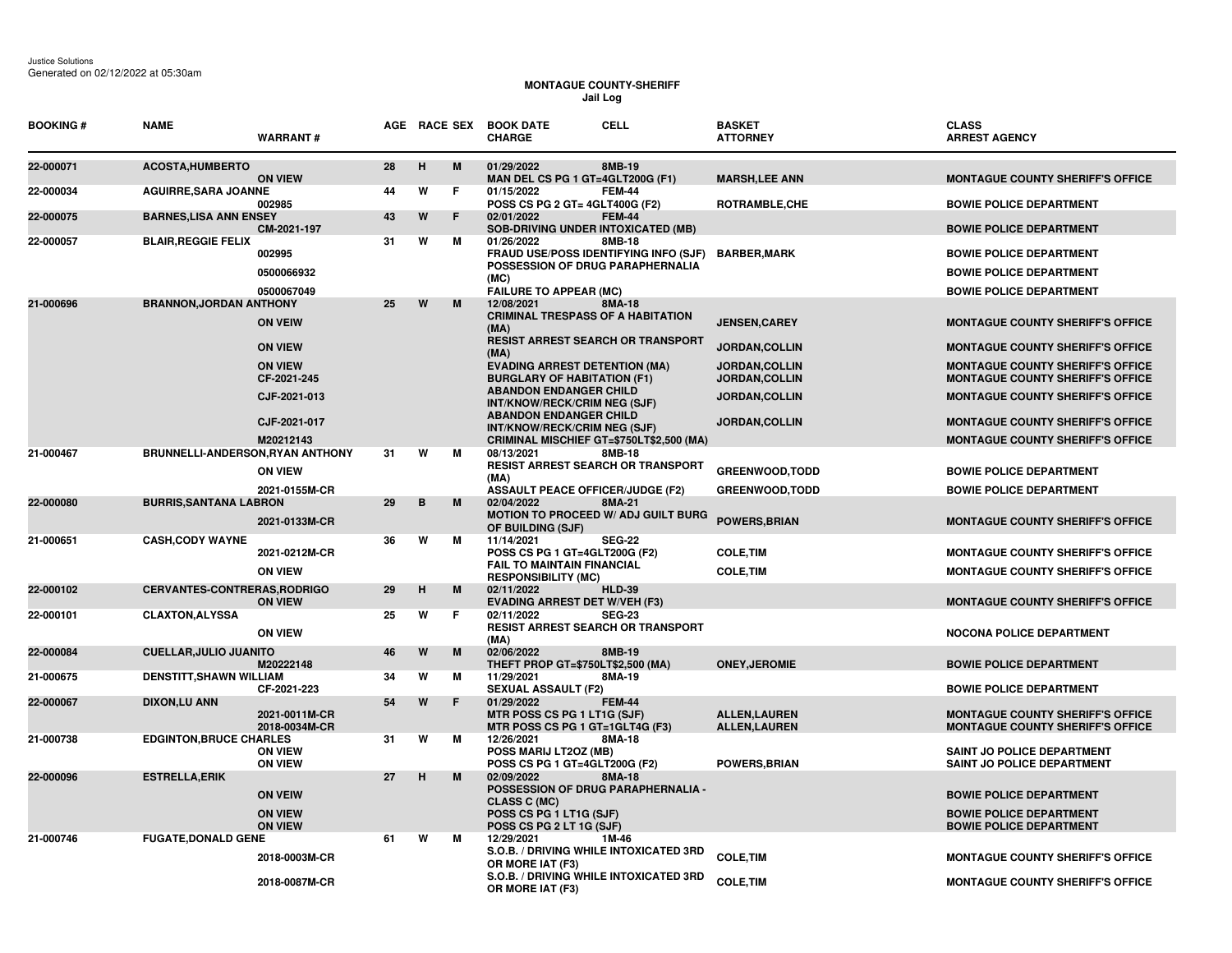## **MONTAGUE COUNTY-SHERIFF Jail Log**

| <b>BOOKING#</b> | <b>NAME</b>                         | <b>WARRANT#</b>                  |    |   |                                                                            | AGE RACE SEX BOOK DATE<br><b>CHARGE</b>                                                          | <b>CELL</b>                                                                        | <b>BASKET</b><br><b>ATTORNEY</b>            | <b>CLASS</b><br><b>ARREST AGENCY</b>                                               |
|-----------------|-------------------------------------|----------------------------------|----|---|----------------------------------------------------------------------------|--------------------------------------------------------------------------------------------------|------------------------------------------------------------------------------------|---------------------------------------------|------------------------------------------------------------------------------------|
| 22-000071       | <b>ACOSTA, HUMBERTO</b>             | <b>ON VIEW</b>                   | 28 | н | M                                                                          | 01/29/2022<br>MAN DEL CS PG 1 GT=4GLT200G (F1)                                                   | 8MB-19                                                                             | <b>MARSH, LEE ANN</b>                       | <b>MONTAGUE COUNTY SHERIFF'S OFFICE</b>                                            |
| 22-000034       | <b>AGUIRRE, SARA JOANNE</b>         | 002985                           | 44 | W | F                                                                          | 01/15/2022<br>POSS CS PG 2 GT= 4GLT400G (F2)                                                     | <b>FEM-44</b>                                                                      | ROTRAMBLE, CHE                              | <b>BOWIE POLICE DEPARTMENT</b>                                                     |
| 22-000075       | <b>BARNES, LISA ANN ENSEY</b>       | CM-2021-197                      | 43 | W | F                                                                          | 02/01/2022<br><b>SOB-DRIVING UNDER INTOXICATED (MB)</b>                                          | <b>FEM-44</b>                                                                      |                                             | <b>BOWIE POLICE DEPARTMENT</b>                                                     |
| 22-000057       | <b>BLAIR, REGGIE FELIX</b>          | 002995                           | 31 | W | м                                                                          | 01/26/2022<br>FRAUD USE/POSS IDENTIFYING INFO (SJF)<br>POSSESSION OF DRUG PARAPHERNALIA          | 8MB-18                                                                             | <b>BARBER,MARK</b>                          | <b>BOWIE POLICE DEPARTMENT</b>                                                     |
|                 |                                     | 0500066932                       |    |   |                                                                            | (MC)                                                                                             |                                                                                    |                                             | <b>BOWIE POLICE DEPARTMENT</b>                                                     |
| 21-000696       | <b>BRANNON, JORDAN ANTHONY</b>      | 0500067049                       | 25 | W | M                                                                          | <b>FAILURE TO APPEAR (MC)</b><br>12/08/2021                                                      | 8MA-18                                                                             |                                             | <b>BOWIE POLICE DEPARTMENT</b>                                                     |
|                 |                                     | <b>ON VEIW</b>                   |    |   |                                                                            | <b>CRIMINAL TRESPASS OF A HABITATION</b><br>(MA)                                                 |                                                                                    | <b>JENSEN, CAREY</b>                        | <b>MONTAGUE COUNTY SHERIFF'S OFFICE</b>                                            |
|                 |                                     | <b>ON VIEW</b>                   |    |   |                                                                            | <b>RESIST ARREST SEARCH OR TRANSPORT</b><br>(MA)                                                 |                                                                                    | JORDAN, COLLIN                              | <b>MONTAGUE COUNTY SHERIFF'S OFFICE</b>                                            |
|                 |                                     | <b>ON VIEW</b><br>CF-2021-245    |    |   | <b>EVADING ARREST DETENTION (MA)</b><br><b>BURGLARY OF HABITATION (F1)</b> | <b>JORDAN, COLLIN</b><br>JORDAN, COLLIN                                                          | <b>MONTAGUE COUNTY SHERIFF'S OFFICE</b><br><b>MONTAGUE COUNTY SHERIFF'S OFFICE</b> |                                             |                                                                                    |
|                 |                                     | CJF-2021-013                     |    |   |                                                                            | <b>ABANDON ENDANGER CHILD</b><br>INT/KNOW/RECK/CRIM NEG (SJF)                                    | JORDAN, COLLIN                                                                     | <b>MONTAGUE COUNTY SHERIFF'S OFFICE</b>     |                                                                                    |
|                 |                                     | CJF-2021-017                     |    |   |                                                                            | <b>ABANDON ENDANGER CHILD</b><br>INT/KNOW/RECK/CRIM NEG (SJF)                                    |                                                                                    | <b>JORDAN,COLLIN</b>                        | <b>MONTAGUE COUNTY SHERIFF'S OFFICE</b>                                            |
| 21-000467       | BRUNNELLI-ANDERSON, RYAN ANTHONY    | M20212143                        | 31 | W | M                                                                          | CRIMINAL MISCHIEF GT=\$750LT\$2,500 (MA)<br>08/13/2021                                           | 8MB-18                                                                             |                                             | <b>MONTAGUE COUNTY SHERIFF'S OFFICE</b>                                            |
|                 |                                     | <b>ON VIEW</b>                   |    |   |                                                                            | <b>RESIST ARREST SEARCH OR TRANSPORT</b><br>(MA)                                                 |                                                                                    | <b>GREENWOOD, TODD</b>                      | <b>BOWIE POLICE DEPARTMENT</b>                                                     |
|                 |                                     | 2021-0155M-CR                    |    |   |                                                                            | <b>ASSAULT PEACE OFFICER/JUDGE (F2)</b>                                                          |                                                                                    | <b>GREENWOOD,TODD</b>                       | <b>BOWIE POLICE DEPARTMENT</b>                                                     |
| 22-000080       | <b>BURRIS, SANTANA LABRON</b>       | 2021-0133M-CR                    | 29 | В | M                                                                          | 02/04/2022<br>MOTION TO PROCEED W/ ADJ GUILT BURG<br>OF BUILDING (SJF)                           | 8MA-21                                                                             | <b>POWERS, BRIAN</b>                        | <b>MONTAGUE COUNTY SHERIFF'S OFFICE</b>                                            |
| 21-000651       | <b>CASH, CODY WAYNE</b>             |                                  | 36 | W | м                                                                          | 11/14/2021                                                                                       | <b>SEG-22</b>                                                                      |                                             |                                                                                    |
|                 |                                     | 2021-0212M-CR<br><b>ON VIEW</b>  |    |   |                                                                            | POSS CS PG 1 GT=4GLT200G (F2)<br><b>FAIL TO MAINTAIN FINANCIAL</b><br><b>RESPONSIBILITY (MC)</b> |                                                                                    | <b>COLE, TIM</b><br><b>COLE, TIM</b>        | <b>MONTAGUE COUNTY SHERIFF'S OFFICE</b><br><b>MONTAGUE COUNTY SHERIFF'S OFFICE</b> |
| 22-000102       | <b>CERVANTES-CONTRERAS, RODRIGO</b> | <b>ON VIEW</b>                   | 29 | H | M                                                                          | 02/11/2022<br><b>EVADING ARREST DET W/VEH (F3)</b>                                               | <b>HLD-39</b>                                                                      |                                             | <b>MONTAGUE COUNTY SHERIFF'S OFFICE</b>                                            |
| 22-000101       | <b>CLAXTON, ALYSSA</b>              |                                  | 25 | W | F                                                                          | 02/11/2022                                                                                       | <b>SEG-23</b>                                                                      |                                             |                                                                                    |
|                 |                                     | <b>ON VIEW</b>                   |    |   |                                                                            | RESIST ARREST SEARCH OR TRANSPORT<br>(MA)                                                        |                                                                                    |                                             | <b>NOCONA POLICE DEPARTMENT</b>                                                    |
| 22-000084       | <b>CUELLAR, JULIO JUANITO</b>       | M20222148                        | 46 | W | M                                                                          | 02/06/2022<br>THEFT PROP GT=\$750LT\$2,500 (MA)                                                  | 8MB-19                                                                             | <b>ONEY, JEROMIE</b>                        | <b>BOWIE POLICE DEPARTMENT</b>                                                     |
| 21-000675       | <b>DENSTITT, SHAWN WILLIAM</b>      | CF-2021-223                      | 34 | W | м                                                                          | 11/29/2021<br><b>SEXUAL ASSAULT (F2)</b>                                                         | 8MA-19                                                                             |                                             | <b>BOWIE POLICE DEPARTMENT</b>                                                     |
| 22-000067       | <b>DIXON,LU ANN</b>                 | 2021-0011M-CR<br>2018-0034M-CR   | 54 | W | F                                                                          | 01/29/2022<br>MTR POSS CS PG 1 LT1G (SJF)<br>MTR POSS CS PG 1 GT=1GLT4G (F3)                     | <b>FEM-44</b>                                                                      | <b>ALLEN,LAUREN</b><br><b>ALLEN, LAUREN</b> | <b>MONTAGUE COUNTY SHERIFF'S OFFICE</b><br><b>MONTAGUE COUNTY SHERIFF'S OFFICE</b> |
| 21-000738       | <b>EDGINTON, BRUCE CHARLES</b>      | <b>ON VIEW</b><br><b>ON VIEW</b> | 31 | W | м                                                                          | 12/26/2021<br>POSS MARIJ LT20Z (MB)<br>POSS CS PG 1 GT=4GLT200G (F2)                             | 8MA-18                                                                             | <b>POWERS, BRIAN</b>                        | <b>SAINT JO POLICE DEPARTMENT</b><br><b>SAINT JO POLICE DEPARTMENT</b>             |
| 22-000096       | <b>ESTRELLA, ERIK</b>               |                                  | 27 | H | M                                                                          | 02/09/2022<br>POSSESSION OF DRUG PARAPHERNALIA -                                                 | 8MA-18                                                                             |                                             |                                                                                    |
|                 |                                     | <b>ON VEIW</b><br><b>ON VIEW</b> |    |   |                                                                            | CLASS C (MC)                                                                                     |                                                                                    |                                             | <b>BOWIE POLICE DEPARTMENT</b><br><b>BOWIE POLICE DEPARTMENT</b>                   |
|                 |                                     | <b>ON VIEW</b>                   |    |   |                                                                            | POSS CS PG 1 LT1G (SJF)<br>POSS CS PG 2 LT 1G (SJF)                                              |                                                                                    |                                             | <b>BOWIE POLICE DEPARTMENT</b>                                                     |
| 21-000746       | <b>FUGATE, DONALD GENE</b>          | 2018-0003M-CR                    | 61 | W | м                                                                          | 12/29/2021<br>S.O.B. / DRIVING WHILE INTOXICATED 3RD                                             | 1M-46                                                                              | <b>COLE, TIM</b>                            | <b>MONTAGUE COUNTY SHERIFF'S OFFICE</b>                                            |
|                 |                                     |                                  |    |   |                                                                            | OR MORE IAT (F3)<br>S.O.B. / DRIVING WHILE INTOXICATED 3RD                                       |                                                                                    |                                             |                                                                                    |
|                 |                                     | 2018-0087M-CR                    |    |   |                                                                            | OR MORE IAT (F3)                                                                                 |                                                                                    | <b>COLE, TIM</b>                            | <b>MONTAGUE COUNTY SHERIFF'S OFFICE</b>                                            |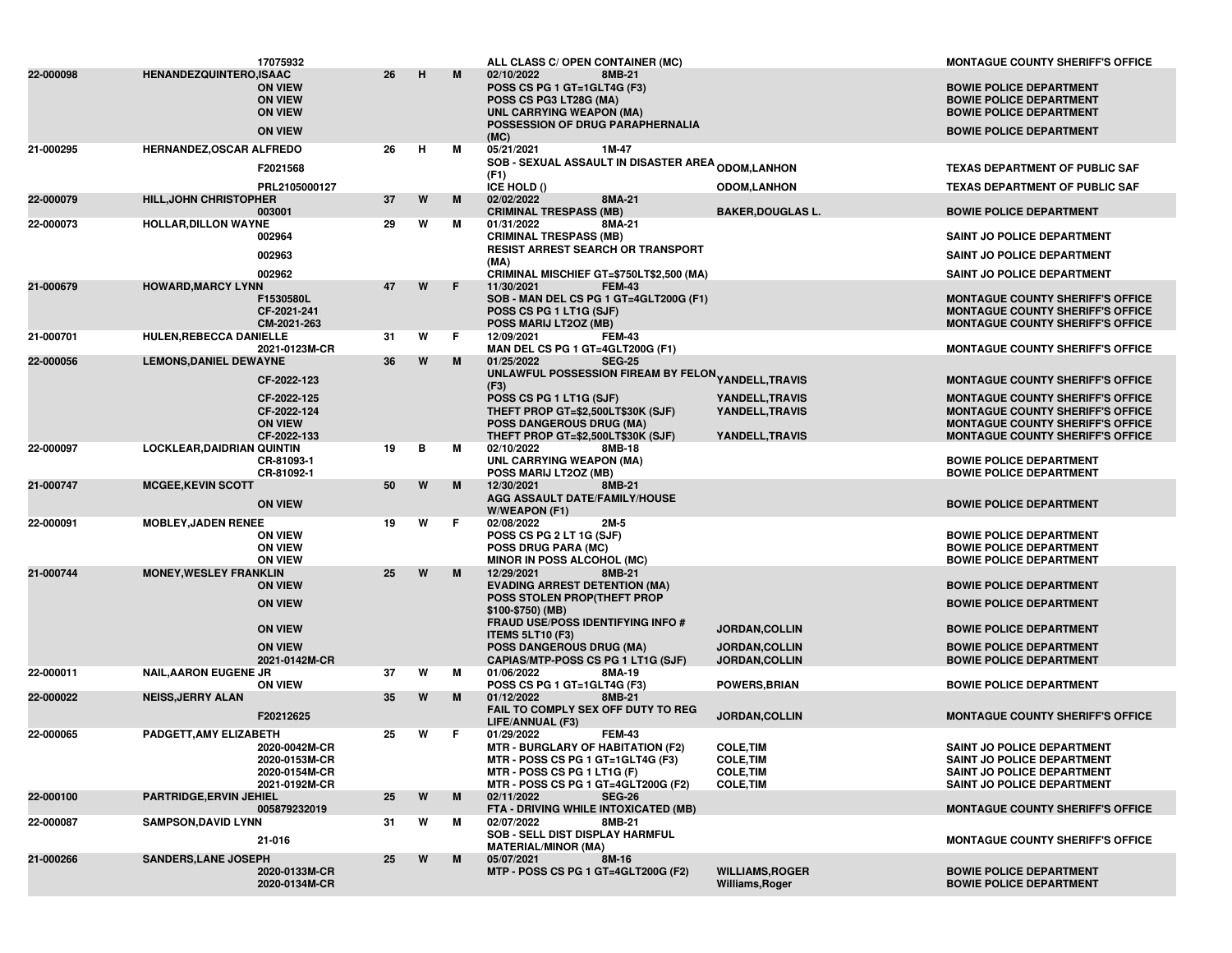|           |                                   | 17075932                                                             |    |   |    | ALL CLASS C/ OPEN CONTAINER (MC)                                                                                                                                      |                                                                              | <b>MONTAGUE COUNTY SHERIFF'S OFFICE</b>                                                                                                                            |
|-----------|-----------------------------------|----------------------------------------------------------------------|----|---|----|-----------------------------------------------------------------------------------------------------------------------------------------------------------------------|------------------------------------------------------------------------------|--------------------------------------------------------------------------------------------------------------------------------------------------------------------|
| 22-000098 | <b>HENANDEZQUINTERO,ISAAC</b>     | <b>ON VIEW</b><br><b>ON VIEW</b><br><b>ON VIEW</b><br><b>ON VIEW</b> | 26 | н | M  | 02/10/2022<br>8MB-21<br>POSS CS PG 1 GT=1GLT4G (F3)<br>POSS CS PG3 LT28G (MA)<br>UNL CARRYING WEAPON (MA)<br>POSSESSION OF DRUG PARAPHERNALIA<br>(MC)                 |                                                                              | <b>BOWIE POLICE DEPARTMENT</b><br><b>BOWIE POLICE DEPARTMENT</b><br><b>BOWIE POLICE DEPARTMENT</b><br><b>BOWIE POLICE DEPARTMENT</b>                               |
| 21-000295 | <b>HERNANDEZ, OSCAR ALFREDO</b>   | F2021568                                                             | 26 | н | м  | 05/21/2021<br>1M-47<br><b>SOB - SEXUAL ASSAULT IN DISASTER AREA <sub>ODOM,</sub>LANHON</b><br>(F1)                                                                    |                                                                              | <b>TEXAS DEPARTMENT OF PUBLIC SAF</b>                                                                                                                              |
|           |                                   | PRL2105000127                                                        |    |   |    | ICE HOLD ()                                                                                                                                                           | <b>ODOM,LANHON</b>                                                           | <b>TEXAS DEPARTMENT OF PUBLIC SAF</b>                                                                                                                              |
| 22-000079 | <b>HILL, JOHN CHRISTOPHER</b>     | 003001                                                               | 37 | W | M  | 02/02/2022<br>8MA-21<br><b>CRIMINAL TRESPASS (MB)</b>                                                                                                                 | <b>BAKER, DOUGLAS L.</b>                                                     | <b>BOWIE POLICE DEPARTMENT</b>                                                                                                                                     |
| 22-000073 | <b>HOLLAR, DILLON WAYNE</b>       | 002964                                                               | 29 | W | м  | 8MA-21<br>01/31/2022<br><b>CRIMINAL TRESPASS (MB)</b><br><b>RESIST ARREST SEARCH OR TRANSPORT</b>                                                                     |                                                                              | <b>SAINT JO POLICE DEPARTMENT</b>                                                                                                                                  |
|           |                                   | 002963                                                               |    |   |    | (MA)                                                                                                                                                                  |                                                                              | SAINT JO POLICE DEPARTMENT                                                                                                                                         |
| 21-000679 | <b>HOWARD, MARCY LYNN</b>         | 002962<br>F1530580L<br>CF-2021-241<br>CM-2021-263                    | 47 | W | F. | CRIMINAL MISCHIEF GT=\$750LT\$2,500 (MA)<br>11/30/2021<br><b>FEM-43</b><br>SOB - MAN DEL CS PG 1 GT=4GLT200G (F1)<br>POSS CS PG 1 LT1G (SJF)<br>POSS MARIJ LT2OZ (MB) |                                                                              | <b>SAINT JO POLICE DEPARTMENT</b><br><b>MONTAGUE COUNTY SHERIFF'S OFFICE</b><br><b>MONTAGUE COUNTY SHERIFF'S OFFICE</b><br><b>MONTAGUE COUNTY SHERIFF'S OFFICE</b> |
| 21-000701 | <b>HULEN, REBECCA DANIELLE</b>    | 2021-0123M-CR                                                        | 31 | W | F. | 12/09/2021<br><b>FEM-43</b><br>MAN DEL CS PG 1 GT=4GLT200G (F1)                                                                                                       |                                                                              |                                                                                                                                                                    |
| 22-000056 | <b>LEMONS, DANIEL DEWAYNE</b>     |                                                                      | 36 | W | M  | <b>SEG-25</b><br>01/25/2022                                                                                                                                           |                                                                              | <b>MONTAGUE COUNTY SHERIFF'S OFFICE</b>                                                                                                                            |
|           |                                   | CF-2022-123                                                          |    |   |    | UNLAWFUL POSSESSION FIREAM BY FELON <sub>YANDELL,</sub> TRAVIS<br>(F3)                                                                                                |                                                                              | <b>MONTAGUE COUNTY SHERIFF'S OFFICE</b>                                                                                                                            |
|           |                                   | CF-2022-125<br>CF-2022-124<br><b>ON VIEW</b><br>CF-2022-133          |    |   |    | POSS CS PG 1 LT1G (SJF)<br>THEFT PROP GT=\$2,500LT\$30K (SJF)<br><b>POSS DANGEROUS DRUG (MA)</b><br>THEFT PROP GT=\$2,500LT\$30K (SJF)                                | YANDELL, TRAVIS<br>YANDELL, TRAVIS<br>YANDELL, TRAVIS                        | <b>MONTAGUE COUNTY SHERIFF'S OFFICE</b><br><b>MONTAGUE COUNTY SHERIFF'S OFFICE</b><br>MONTAGUE COUNTY SHERIFF'S OFFICE<br><b>MONTAGUE COUNTY SHERIFF'S OFFICE</b>  |
| 22-000097 | <b>LOCKLEAR, DAIDRIAN QUINTIN</b> | CR-81093-1<br>CR-81092-1                                             | 19 | в | м  | 02/10/2022<br>8MB-18<br><b>UNL CARRYING WEAPON (MA)</b><br>POSS MARIJ LT2OZ (MB)                                                                                      |                                                                              | <b>BOWIE POLICE DEPARTMENT</b><br><b>BOWIE POLICE DEPARTMENT</b>                                                                                                   |
| 21-000747 | <b>MCGEE, KEVIN SCOTT</b>         | <b>ON VIEW</b>                                                       | 50 | W | M  | 12/30/2021<br>8MB-21<br>AGG ASSAULT DATE/FAMILY/HOUSE<br>W/WEAPON (F1)                                                                                                |                                                                              | <b>BOWIE POLICE DEPARTMENT</b>                                                                                                                                     |
| 22-000091 | <b>MOBLEY, JADEN RENEE</b>        | <b>ON VIEW</b><br><b>ON VIEW</b><br><b>ON VIEW</b>                   | 19 | W | F. | 02/08/2022<br>2M-5<br>POSS CS PG 2 LT 1G (SJF)<br><b>POSS DRUG PARA (MC)</b><br><b>MINOR IN POSS ALCOHOL (MC)</b>                                                     |                                                                              | <b>BOWIE POLICE DEPARTMENT</b><br><b>BOWIE POLICE DEPARTMENT</b><br><b>BOWIE POLICE DEPARTMENT</b>                                                                 |
| 21-000744 | <b>MONEY, WESLEY FRANKLIN</b>     | <b>ON VIEW</b><br><b>ON VIEW</b>                                     | 25 | W | M  | 12/29/2021<br>8MB-21<br><b>EVADING ARREST DETENTION (MA)</b><br>POSS STOLEN PROP(THEFT PROP<br>\$100-\$750) (MB)                                                      |                                                                              | <b>BOWIE POLICE DEPARTMENT</b><br><b>BOWIE POLICE DEPARTMENT</b>                                                                                                   |
|           |                                   | <b>ON VIEW</b>                                                       |    |   |    | <b>FRAUD USE/POSS IDENTIFYING INFO #</b><br><b>ITEMS 5LT10 (F3)</b>                                                                                                   | <b>JORDAN, COLLIN</b>                                                        | <b>BOWIE POLICE DEPARTMENT</b>                                                                                                                                     |
|           |                                   | <b>ON VIEW</b><br>2021-0142M-CR                                      |    |   |    | <b>POSS DANGEROUS DRUG (MA)</b><br>CAPIAS/MTP-POSS CS PG 1 LT1G (SJF)                                                                                                 | <b>JORDAN, COLLIN</b>                                                        | <b>BOWIE POLICE DEPARTMENT</b><br><b>BOWIE POLICE DEPARTMENT</b>                                                                                                   |
| 22-000011 | <b>NAIL, AARON EUGENE JR</b>      |                                                                      | 37 | W | м  | 01/06/2022<br>8MA-19                                                                                                                                                  | <b>JORDAN, COLLIN</b>                                                        |                                                                                                                                                                    |
| 22-000022 | <b>NEISS, JERRY ALAN</b>          | <b>ON VIEW</b>                                                       | 35 | W | M  | POSS CS PG 1 GT=1GLT4G (F3)<br>01/12/2022<br>8MB-21<br>FAIL TO COMPLY SEX OFF DUTY TO REG                                                                             | <b>POWERS, BRIAN</b>                                                         | <b>BOWIE POLICE DEPARTMENT</b>                                                                                                                                     |
|           |                                   | F20212625                                                            | 25 | W | F. | LIFE/ANNUAL (F3)<br><b>FEM-43</b><br>01/29/2022                                                                                                                       | <b>JORDAN, COLLIN</b>                                                        | <b>MONTAGUE COUNTY SHERIFF'S OFFICE</b>                                                                                                                            |
| 22-000065 | PADGETT, AMY ELIZABETH            | 2020-0042M-CR<br>2020-0153M-CR<br>2020-0154M-CR<br>2021-0192M-CR     |    |   |    | <b>MTR - BURGLARY OF HABITATION (F2)</b><br>MTR - POSS CS PG 1 GT=1GLT4G (F3)<br>MTR - POSS CS PG 1 LT1G (F)<br>MTR - POSS CS PG 1 GT=4GLT200G (F2)                   | <b>COLE, TIM</b><br><b>COLE, TIM</b><br><b>COLE, TIM</b><br><b>COLE, TIM</b> | SAINT JO POLICE DEPARTMENT<br><b>SAINT JO POLICE DEPARTMENT</b><br>SAINT JO POLICE DEPARTMENT<br>SAINT JO POLICE DEPARTMENT                                        |
| 22-000100 | PARTRIDGE, ERVIN JEHIEL           | 005879232019                                                         | 25 | W | M  | 02/11/2022<br><b>SEG-26</b><br>FTA - DRIVING WHILE INTOXICATED (MB)                                                                                                   |                                                                              | <b>MONTAGUE COUNTY SHERIFF'S OFFICE</b>                                                                                                                            |
| 22-000087 | <b>SAMPSON, DAVID LYNN</b>        | 21-016                                                               | 31 | W | м  | 02/07/2022<br>8MB-21<br>SOB - SELL DIST DISPLAY HARMFUL<br><b>MATERIAL/MINOR (MA)</b>                                                                                 |                                                                              | <b>MONTAGUE COUNTY SHERIFF'S OFFICE</b>                                                                                                                            |
| 21-000266 | <b>SANDERS.LANE JOSEPH</b>        | 2020-0133M-CR<br>2020-0134M-CR                                       | 25 | W | M  | 05/07/2021<br>8M-16<br>MTP - POSS CS PG 1 GT=4GLT200G (F2)                                                                                                            | <b>WILLIAMS, ROGER</b><br>Williams, Roger                                    | <b>BOWIE POLICE DEPARTMENT</b><br><b>BOWIE POLICE DEPARTMENT</b>                                                                                                   |